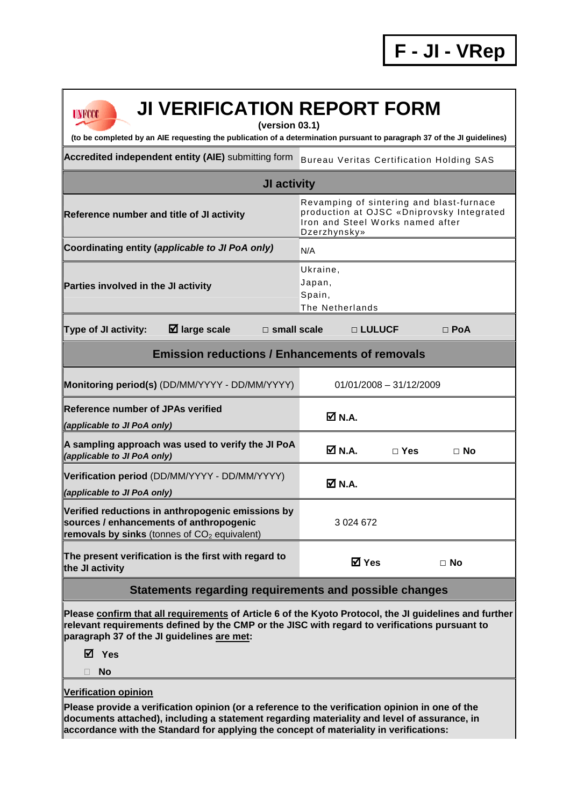## **UNFCCC**

# **JI VERIFICATION REPORT FORM**

**(version 03.1)** 

**(to be completed by an AIE requesting the publication of a determination pursuant to paragraph 37 of the JI guidelines)** 

Accredited independent entity (AIE) submitting form Bureau Veritas Certification Holding SAS

### **JI activity Reference number and title of JI activity** Revamping of sintering and blast-furnace production at OJSC «Dniprovsky Integrated Iron and Steel W orks named after Dzerzhynsky» Coordinating entity (*applicable to JI PoA only*) N/A **Parties involved in the JI activity**  Ukraine, Japan, Spain, The Netherlands **Type of JI activity: large scale □ small scale □ LULUCF □ PoA Emission reductions / Enhancements of removals Monitoring period(s)** (DD/MM/YYYY - DD/MM/YYYY) 01/01/2008 - 31/12/2009 **Reference number of JPAs verified (applicable to JI PoA only) N.A. A sampling approach was used to verify the JI PoA (applicable to JI PoA only) N.A. □ Yes □ No Verification period** (DD/MM/YYYY - DD/MM/YYYY) **(applicable to JI PoA only) N.A. Verified reductions in anthropogenic emissions by sources / enhancements of anthropogenic removals by sinks** (tonnes of CO<sub>2</sub> equivalent) 3 024 672

**The present verification is the first with regard to the JI activity Yes □ No** 

#### **Statements regarding requirements and possible changes**

**Please confirm that all requirements of Article 6 of the Kyoto Protocol, the JI guidelines and further relevant requirements defined by the CMP or the JISC with regard to verifications pursuant to paragraph 37 of the JI guidelines are met:** 

**Yes** 

**No** 

#### **Verification opinion**

**Please provide a verification opinion (or a reference to the verification opinion in one of the documents attached), including a statement regarding materiality and level of assurance, in accordance with the Standard for applying the concept of materiality in verifications:**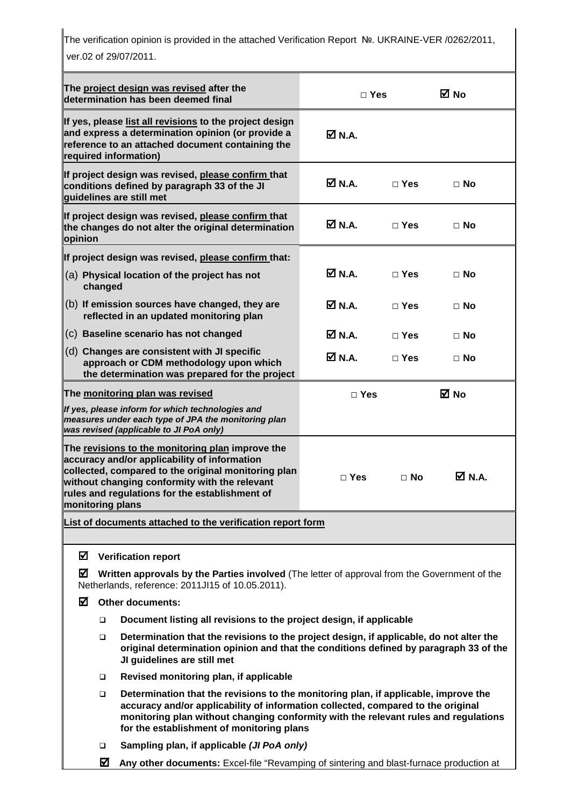The verification opinion is provided in the attached Verification Report №. UKRAINE-VER /0262/2011, ver.02 of 29/07/2011.

| The project design was revised after the<br>determination has been deemed final                                                                                                                                                                                                |                                                                                                                                                                                                                                                                                                                       |                                                                                                                                                    | $\Box$ Yes       |            | ⊠ No      |
|--------------------------------------------------------------------------------------------------------------------------------------------------------------------------------------------------------------------------------------------------------------------------------|-----------------------------------------------------------------------------------------------------------------------------------------------------------------------------------------------------------------------------------------------------------------------------------------------------------------------|----------------------------------------------------------------------------------------------------------------------------------------------------|------------------|------------|-----------|
| If yes, please list all revisions to the project design<br>and express a determination opinion (or provide a<br>reference to an attached document containing the<br>required information)                                                                                      |                                                                                                                                                                                                                                                                                                                       |                                                                                                                                                    | ØN.A.            |            |           |
| If project design was revised, please confirm that<br>conditions defined by paragraph 33 of the JI<br>guidelines are still met                                                                                                                                                 |                                                                                                                                                                                                                                                                                                                       |                                                                                                                                                    | M N.A.           | $\Box$ Yes | $\Box$ No |
| If project design was revised, please confirm that<br>the changes do not alter the original determination<br>opinion                                                                                                                                                           |                                                                                                                                                                                                                                                                                                                       |                                                                                                                                                    | M N.A.           | $\Box$ Yes | $\Box$ No |
|                                                                                                                                                                                                                                                                                |                                                                                                                                                                                                                                                                                                                       | If project design was revised, please confirm that:                                                                                                |                  |            |           |
|                                                                                                                                                                                                                                                                                | changed                                                                                                                                                                                                                                                                                                               | (a) Physical location of the project has not                                                                                                       | $M$ N.A.         | $\Box$ Yes | $\Box$ No |
|                                                                                                                                                                                                                                                                                |                                                                                                                                                                                                                                                                                                                       | (b) If emission sources have changed, they are<br>reflected in an updated monitoring plan                                                          | $\boxtimes$ N.A. | $\Box$ Yes | ⊟ No      |
|                                                                                                                                                                                                                                                                                |                                                                                                                                                                                                                                                                                                                       | (c) Baseline scenario has not changed                                                                                                              | $\boxtimes$ N.A. | $\Box$ Yes | $\Box$ No |
| (d) Changes are consistent with JI specific<br>approach or CDM methodology upon which<br>the determination was prepared for the project                                                                                                                                        |                                                                                                                                                                                                                                                                                                                       |                                                                                                                                                    | ØN.A.            | $\Box$ Yes | $\Box$ No |
| The monitoring plan was revised                                                                                                                                                                                                                                                |                                                                                                                                                                                                                                                                                                                       |                                                                                                                                                    | $\Box$ Yes       |            | ⊠ No      |
|                                                                                                                                                                                                                                                                                |                                                                                                                                                                                                                                                                                                                       | If yes, please inform for which technologies and<br>measures under each type of JPA the monitoring plan<br>was revised (applicable to JI PoA only) |                  |            |           |
| The revisions to the monitoring plan improve the<br>accuracy and/or applicability of information<br>collected, compared to the original monitoring plan<br>without changing conformity with the relevant<br>rules and regulations for the establishment of<br>monitoring plans |                                                                                                                                                                                                                                                                                                                       |                                                                                                                                                    | $\Box$ Yes       | $\Box$ No  | Ø N.A.    |
|                                                                                                                                                                                                                                                                                |                                                                                                                                                                                                                                                                                                                       | List of documents attached to the verification report form                                                                                         |                  |            |           |
| ☑                                                                                                                                                                                                                                                                              |                                                                                                                                                                                                                                                                                                                       | <b>Verification report</b>                                                                                                                         |                  |            |           |
| ☑                                                                                                                                                                                                                                                                              |                                                                                                                                                                                                                                                                                                                       | Written approvals by the Parties involved (The letter of approval from the Government of the<br>Netherlands, reference: 2011JI15 of 10.05.2011).   |                  |            |           |
| М<br><b>Other documents:</b>                                                                                                                                                                                                                                                   |                                                                                                                                                                                                                                                                                                                       |                                                                                                                                                    |                  |            |           |
|                                                                                                                                                                                                                                                                                | $\Box$                                                                                                                                                                                                                                                                                                                | Document listing all revisions to the project design, if applicable                                                                                |                  |            |           |
|                                                                                                                                                                                                                                                                                | Determination that the revisions to the project design, if applicable, do not alter the<br>$\Box$<br>original determination opinion and that the conditions defined by paragraph 33 of the<br>JI guidelines are still met                                                                                             |                                                                                                                                                    |                  |            |           |
|                                                                                                                                                                                                                                                                                | $\Box$                                                                                                                                                                                                                                                                                                                | Revised monitoring plan, if applicable                                                                                                             |                  |            |           |
|                                                                                                                                                                                                                                                                                | Determination that the revisions to the monitoring plan, if applicable, improve the<br>$\Box$<br>accuracy and/or applicability of information collected, compared to the original<br>monitoring plan without changing conformity with the relevant rules and regulations<br>for the establishment of monitoring plans |                                                                                                                                                    |                  |            |           |
|                                                                                                                                                                                                                                                                                | $\Box$                                                                                                                                                                                                                                                                                                                | Sampling plan, if applicable (JI PoA only)                                                                                                         |                  |            |           |
|                                                                                                                                                                                                                                                                                | ☑                                                                                                                                                                                                                                                                                                                     | Any other documents: Excel-file "Revamping of sintering and blast-furnace production at                                                            |                  |            |           |

 **Any other documents:** Excel-file "Revamping of sintering and blast-furnace production at